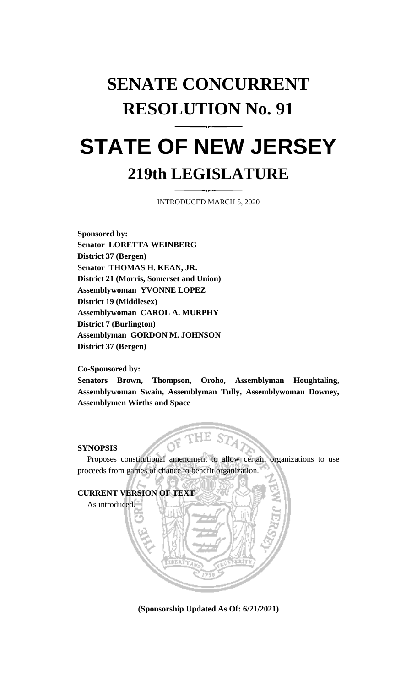## **SENATE CONCURRENT RESOLUTION No. 91**

# **STATE OF NEW JERSEY 219th LEGISLATURE**

INTRODUCED MARCH 5, 2020

**Sponsored by: Senator LORETTA WEINBERG District 37 (Bergen) Senator THOMAS H. KEAN, JR. District 21 (Morris, Somerset and Union) Assemblywoman YVONNE LOPEZ District 19 (Middlesex) Assemblywoman CAROL A. MURPHY District 7 (Burlington) Assemblyman GORDON M. JOHNSON District 37 (Bergen)**

**Co-Sponsored by:**

**Senators Brown, Thompson, Oroho, Assemblyman Houghtaling, Assemblywoman Swain, Assemblyman Tully, Assemblywoman Downey, Assemblymen Wirths and Space**

#### **SYNOPSIS**

Proposes constitutional amendment to allow certain organizations to use proceeds from games of chance to benefit organization.



**(Sponsorship Updated As Of: 6/21/2021)**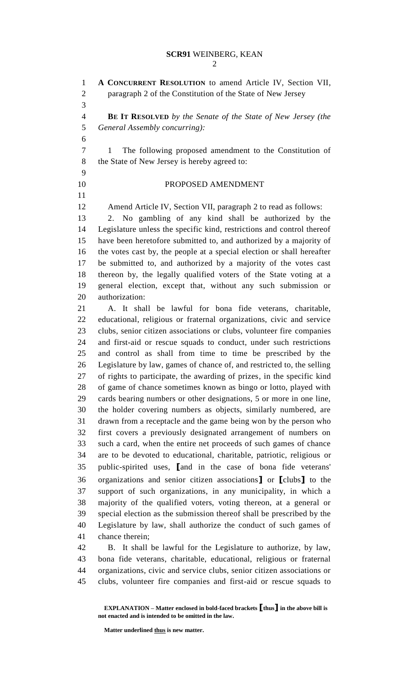**A CONCURRENT RESOLUTION** to amend Article IV, Section VII, paragraph 2 of the Constitution of the State of New Jersey **BE IT RESOLVED** *by the Senate of the State of New Jersey (the General Assembly concurring):* 1 The following proposed amendment to the Constitution of the State of New Jersey is hereby agreed to: PROPOSED AMENDMENT Amend Article IV, Section VII, paragraph 2 to read as follows: 2. No gambling of any kind shall be authorized by the Legislature unless the specific kind, restrictions and control thereof have been heretofore submitted to, and authorized by a majority of the votes cast by, the people at a special election or shall hereafter be submitted to, and authorized by a majority of the votes cast thereon by, the legally qualified voters of the State voting at a general election, except that, without any such submission or authorization: A. It shall be lawful for bona fide veterans, charitable, educational, religious or fraternal organizations, civic and service clubs, senior citizen associations or clubs, volunteer fire companies and first-aid or rescue squads to conduct, under such restrictions and control as shall from time to time be prescribed by the Legislature by law, games of chance of, and restricted to, the selling of rights to participate, the awarding of prizes, in the specific kind of game of chance sometimes known as bingo or lotto, played with cards bearing numbers or other designations, 5 or more in one line, the holder covering numbers as objects, similarly numbered, are drawn from a receptacle and the game being won by the person who first covers a previously designated arrangement of numbers on such a card, when the entire net proceeds of such games of chance are to be devoted to educational, charitable, patriotic, religious or public-spirited uses, **[**and in the case of bona fide veterans' organizations and senior citizen associations**]** or **[**clubs**]** to the support of such organizations, in any municipality, in which a majority of the qualified voters, voting thereon, at a general or special election as the submission thereof shall be prescribed by the Legislature by law, shall authorize the conduct of such games of chance therein; B. It shall be lawful for the Legislature to authorize, by law, bona fide veterans, charitable, educational, religious or fraternal organizations, civic and service clubs, senior citizen associations or clubs, volunteer fire companies and first-aid or rescue squads to

**EXPLANATION – Matter enclosed in bold-faced brackets [thus] in the above bill is not enacted and is intended to be omitted in the law.**

**Matter underlined thus is new matter.**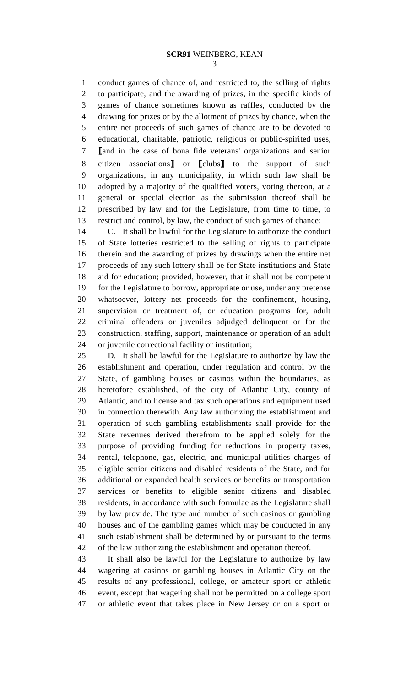conduct games of chance of, and restricted to, the selling of rights to participate, and the awarding of prizes, in the specific kinds of games of chance sometimes known as raffles, conducted by the drawing for prizes or by the allotment of prizes by chance, when the entire net proceeds of such games of chance are to be devoted to educational, charitable, patriotic, religious or public-spirited uses, **[**and in the case of bona fide veterans' organizations and senior citizen associations**]** or **[**clubs**]** to the support of such organizations, in any municipality, in which such law shall be adopted by a majority of the qualified voters, voting thereon, at a general or special election as the submission thereof shall be prescribed by law and for the Legislature, from time to time, to restrict and control, by law, the conduct of such games of chance;

 C. It shall be lawful for the Legislature to authorize the conduct of State lotteries restricted to the selling of rights to participate therein and the awarding of prizes by drawings when the entire net proceeds of any such lottery shall be for State institutions and State aid for education; provided, however, that it shall not be competent for the Legislature to borrow, appropriate or use, under any pretense whatsoever, lottery net proceeds for the confinement, housing, supervision or treatment of, or education programs for, adult criminal offenders or juveniles adjudged delinquent or for the construction, staffing, support, maintenance or operation of an adult or juvenile correctional facility or institution;

 D. It shall be lawful for the Legislature to authorize by law the establishment and operation, under regulation and control by the State, of gambling houses or casinos within the boundaries, as heretofore established, of the city of Atlantic City, county of Atlantic, and to license and tax such operations and equipment used in connection therewith. Any law authorizing the establishment and operation of such gambling establishments shall provide for the State revenues derived therefrom to be applied solely for the purpose of providing funding for reductions in property taxes, rental, telephone, gas, electric, and municipal utilities charges of eligible senior citizens and disabled residents of the State, and for additional or expanded health services or benefits or transportation services or benefits to eligible senior citizens and disabled residents, in accordance with such formulae as the Legislature shall by law provide. The type and number of such casinos or gambling houses and of the gambling games which may be conducted in any such establishment shall be determined by or pursuant to the terms of the law authorizing the establishment and operation thereof.

 It shall also be lawful for the Legislature to authorize by law wagering at casinos or gambling houses in Atlantic City on the results of any professional, college, or amateur sport or athletic event, except that wagering shall not be permitted on a college sport or athletic event that takes place in New Jersey or on a sport or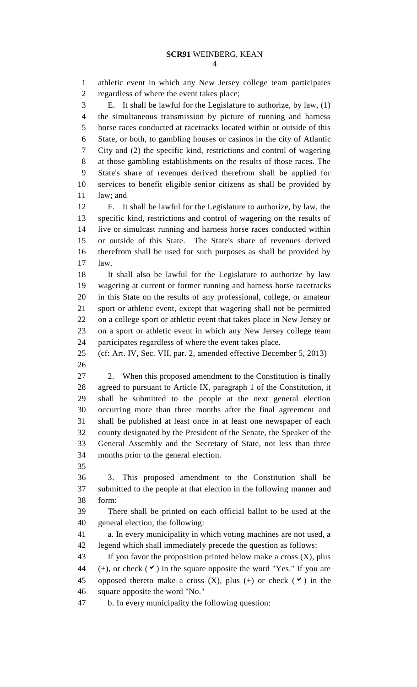athletic event in which any New Jersey college team participates regardless of where the event takes place; E. It shall be lawful for the Legislature to authorize, by law, (1) the simultaneous transmission by picture of running and harness horse races conducted at racetracks located within or outside of this State, or both, to gambling houses or casinos in the city of Atlantic City and (2) the specific kind, restrictions and control of wagering at those gambling establishments on the results of those races. The State's share of revenues derived therefrom shall be applied for services to benefit eligible senior citizens as shall be provided by law; and F. It shall be lawful for the Legislature to authorize, by law, the specific kind, restrictions and control of wagering on the results of live or simulcast running and harness horse races conducted within or outside of this State. The State's share of revenues derived therefrom shall be used for such purposes as shall be provided by law. It shall also be lawful for the Legislature to authorize by law wagering at current or former running and harness horse racetracks in this State on the results of any professional, college, or amateur sport or athletic event, except that wagering shall not be permitted on a college sport or athletic event that takes place in New Jersey or on a sport or athletic event in which any New Jersey college team participates regardless of where the event takes place. (cf: Art. IV, Sec. VII, par. 2, amended effective December 5, 2013) 2. When this proposed amendment to the Constitution is finally agreed to pursuant to Article IX, paragraph 1 of the Constitution, it shall be submitted to the people at the next general election occurring more than three months after the final agreement and shall be published at least once in at least one newspaper of each county designated by the President of the Senate, the Speaker of the General Assembly and the Secretary of State, not less than three months prior to the general election. 3. This proposed amendment to the Constitution shall be submitted to the people at that election in the following manner and form: There shall be printed on each official ballot to be used at the general election, the following: a. In every municipality in which voting machines are not used, a legend which shall immediately precede the question as follows: 43 If you favor the proposition printed below make a cross  $(X)$ , plus 44 (+), or check  $(\vee)$  in the square opposite the word "Yes." If you are 45 opposed thereto make a cross  $(X)$ , plus  $(+)$  or check  $(\vee)$  in the square opposite the word "No."

b. In every municipality the following question: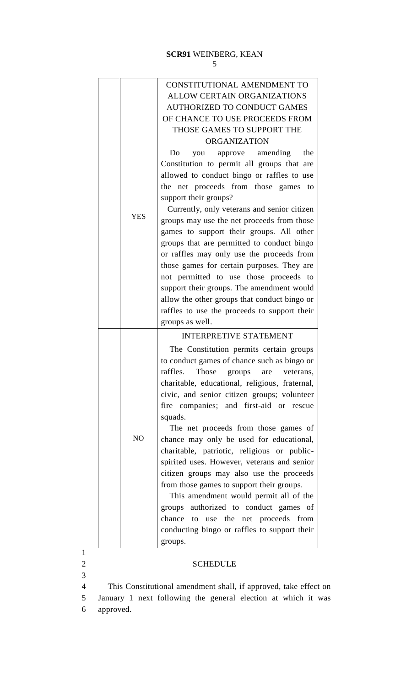### **SCR91** WEINBERG, KEAN

|  | <b>YES</b>     | CONSTITUTIONAL AMENDMENT TO<br><b>ALLOW CERTAIN ORGANIZATIONS</b> |
|--|----------------|-------------------------------------------------------------------|
|  |                |                                                                   |
|  |                | <b>AUTHORIZED TO CONDUCT GAMES</b>                                |
|  |                | OF CHANCE TO USE PROCEEDS FROM                                    |
|  |                | THOSE GAMES TO SUPPORT THE                                        |
|  |                | ORGANIZATION                                                      |
|  |                | Do<br>approve amending<br>the<br>you                              |
|  |                | Constitution to permit all groups that are                        |
|  |                | allowed to conduct bingo or raffles to use                        |
|  |                | the net proceeds from those games to                              |
|  |                | support their groups?                                             |
|  |                | Currently, only veterans and senior citizen                       |
|  |                | groups may use the net proceeds from those                        |
|  |                | games to support their groups. All other                          |
|  |                | groups that are permitted to conduct bingo                        |
|  |                | or raffles may only use the proceeds from                         |
|  |                | those games for certain purposes. They are                        |
|  |                | not permitted to use those proceeds to                            |
|  |                | support their groups. The amendment would                         |
|  |                | allow the other groups that conduct bingo or                      |
|  |                |                                                                   |
|  |                | raffles to use the proceeds to support their                      |
|  |                | groups as well.                                                   |
|  | N <sub>O</sub> | <b>INTERPRETIVE STATEMENT</b>                                     |
|  |                | The Constitution permits certain groups                           |
|  |                | to conduct games of chance such as bingo or                       |
|  |                | raffles.<br>Those<br>groups<br>veterans,<br>are                   |
|  |                | charitable, educational, religious, fraternal,                    |
|  |                | civic, and senior citizen groups; volunteer                       |
|  |                | fire companies; and first-aid or rescue                           |
|  |                | squads.                                                           |
|  |                | The net proceeds from those games of                              |
|  |                | chance may only be used for educational,                          |
|  |                | charitable, patriotic, religious or public-                       |
|  |                | spirited uses. However, veterans and senior                       |
|  |                | citizen groups may also use the proceeds                          |
|  |                | from those games to support their groups.                         |
|  |                | This amendment would permit all of the                            |
|  |                | groups authorized to conduct games of                             |
|  |                | chance to use the net proceeds from                               |
|  |                | conducting bingo or raffles to support their                      |
|  |                | groups.                                                           |
|  |                |                                                                   |
|  |                |                                                                   |

1

### 2 SCHEDULE

3

4 This Constitutional amendment shall, if approved, take effect on 5 January 1 next following the general election at which it was 6 approved.